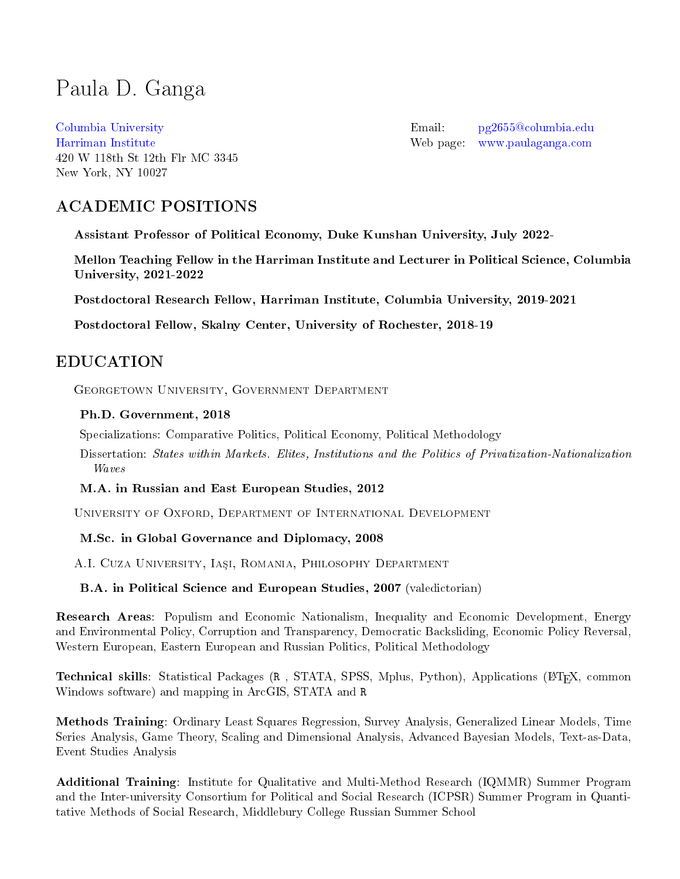# <span id="page-0-0"></span>Paula D. Ganga

[Columbia University](https://www.columbia.edu/) [Harriman Institute](https://harriman.columbia.edu/) 420 W 118th St 12th Flr MC 3345 New York, NY 10027

Email: [pg2655@columbia.edu](mailto:pg2655@columbia.edu) Web page: <www.paulaganga.com>

# ACADEMIC POSITIONS

Assistant Professor of Political Economy, Duke Kunshan University, July 2022-

Mellon Teaching Fellow in the Harriman Institute and Lecturer in Political Science, Columbia University, 2021-2022

Postdoctoral Research Fellow, Harriman Institute, Columbia University, 2019-2021

Postdoctoral Fellow, Skalny Center, University of Rochester, 2018-19

# EDUCATION

Georgetown University, Government Department

#### Ph.D. Government, 2018

Specializations: Comparative Politics, Political Economy, Political Methodology

Dissertation: States within Markets. Elites, Institutions and the Politics of Privatization-Nationalization Waves

M.A. in Russian and East European Studies, 2012

University of Oxford, Department of International Development

#### M.Sc. in Global Governance and Diplomacy, 2008

A.I. Cuza University, Iași, Romania, Philosophy Department

B.A. in Political Science and European Studies, 2007 (valedictorian)

Research Areas: Populism and Economic Nationalism, Inequality and Economic Development, Energy and Environmental Policy, Corruption and Transparency, Democratic Backsliding, Economic Policy Reversal, Western European, Eastern European and Russian Politics, Political Methodology

Technical skills: Statistical Packages (R, STATA, SPSS, Mplus, Python), Applications (LATEX, common Windows software) and mapping in ArcGIS, STATA and R

Methods Training: Ordinary Least Squares Regression, Survey Analysis, Generalized Linear Models, Time Series Analysis, Game Theory, Scaling and Dimensional Analysis, Advanced Bayesian Models, Text-as-Data, Event Studies Analysis

Additional Training: Institute for Qualitative and Multi-Method Research (IQMMR) Summer Program and the Inter-university Consortium for Political and Social Research (ICPSR) Summer Program in Quantitative Methods of Social Research, Middlebury College Russian Summer School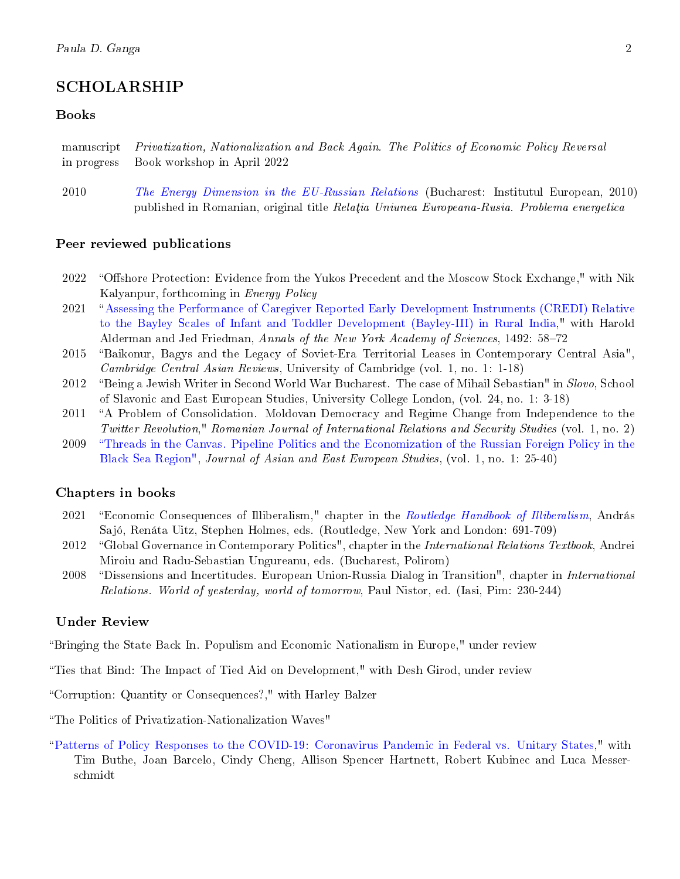# SCHOLARSHIP

#### Books

manuscript Privatization, Nationalization and Back Again. The Politics of Economic Policy Reversal in progress Book workshop in April 2022

2010 [The Energy Dimension in the EU-Russian Relations](http://www.euroinst.ro/titlu.php?id=1042) (Bucharest: Institutul European, 2010) published in Romanian, original title Relatia Uniunea Europeana-Rusia. Problema energetica

#### Peer reviewed publications

- 2022 "Offshore Protection: Evidence from the Yukos Precedent and the Moscow Stock Exchange," with Nik Kalyanpur, forthcoming in Energy Policy
- 2021 [Assessing the Performance of Caregiver Reported Early Development Instruments \(CREDI\) Relative](https://nyaspubs.onlinelibrary.wiley.com/doi/epdf/10.1111/nyas.14543) [to the Bayley Scales of Infant and Toddler Development \(Bayley-III\) in Rural India,](https://nyaspubs.onlinelibrary.wiley.com/doi/epdf/10.1111/nyas.14543)" with Harold Alderman and Jed Friedman, Annals of the New York Academy of Sciences, 1492: 58-72
- 2015 Baikonur, Bagys and the Legacy of Soviet-Era Territorial Leases in Contemporary Central Asia", Cambridge Central Asian Reviews, University of Cambridge (vol. 1, no. 1: 1-18)
- 2012 "Being a Jewish Writer in Second World War Bucharest. The case of Mihail Sebastian" in Slovo, School of Slavonic and East European Studies, University College London, (vol. 24, no. 1: 3-18)
- 2011 "A Problem of Consolidation. Moldovan Democracy and Regime Change from Independence to the Twitter Revolution," Romanian Journal of International Relations and Security Studies (vol. 1, no. 2)
- 2009 [Threads in the Canvas. Pipeline Politics and the Economization of the Russian Foreign Policy in the](http://www.jeeas.org/index.php/archive/53-threads-in-the-canvas-pipeline-politics-and-the-economization-of-the-russian-foreign-policy-in-the-black-sea-region-by-paula-ganga) [Black Sea Region",](http://www.jeeas.org/index.php/archive/53-threads-in-the-canvas-pipeline-politics-and-the-economization-of-the-russian-foreign-policy-in-the-black-sea-region-by-paula-ganga) Journal of Asian and East European Studies, (vol. 1, no. 1: 25-40)

#### Chapters in books

- 2021 "Economic Consequences of Illiberalism," chapter in the [Routledge Handbook of Illiberalism,](http://www.paulaganga.com/uploads/9/1/0/6/91063034/9780367260545_00pre_pi-xxviii.pdf) András Sajó, Renáta Uitz, Stephen Holmes, eds. (Routledge, New York and London: 691-709)
- 2012 "Global Governance in Contemporary Politics", chapter in the International Relations Textbook, Andrei Miroiu and Radu-Sebastian Ungureanu, eds. (Bucharest, Polirom)
- 2008 Dissensions and Incertitudes. European Union-Russia Dialog in Transition", chapter in International Relations. World of yesterday, world of tomorrow, Paul Nistor, ed. (Iasi, Pim: 230-244)

#### Under Review

Bringing the State Back In. Populism and Economic Nationalism in Europe," under review

Ties that Bind: The Impact of Tied Aid on Development," with Desh Girod, under review

Corruption: Quantity or Consequences?," with Harley Balzer

The Politics of Privatization-Nationalization Waves"

[Patterns of Policy Responses to the COVID-19: Coronavirus Pandemic in Federal vs. Unitary States,](https://papers.ssrn.com/sol3/papers.cfm?abstract_id=3692035)" with Tim Buthe, Joan Barcelo, Cindy Cheng, Allison Spencer Hartnett, Robert Kubinec and Luca Messerschmidt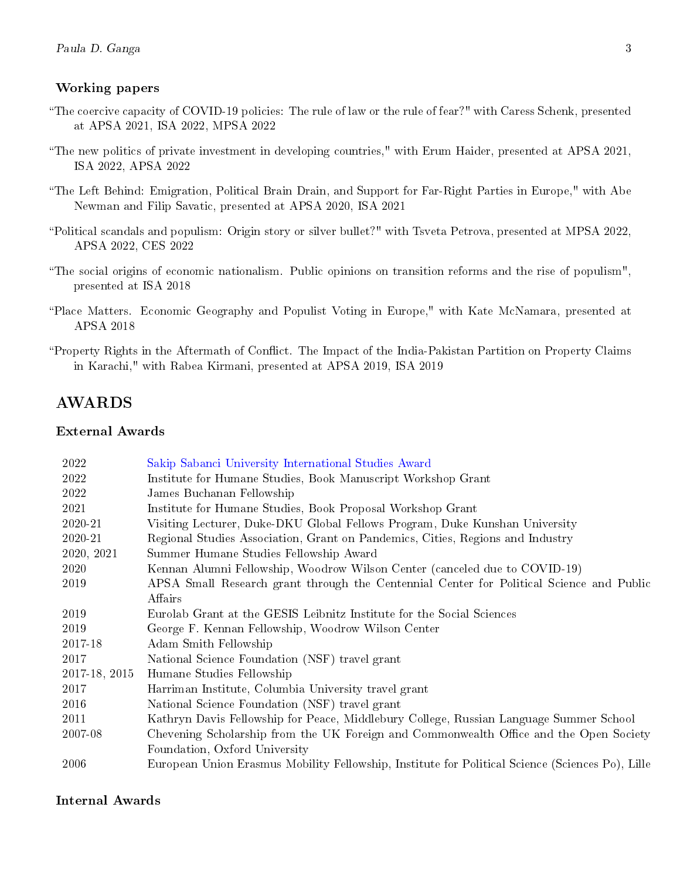#### Working papers

- The coercive capacity of COVID-19 policies: The rule of law or the rule of fear?" with Caress Schenk, presented at APSA 2021, ISA 2022, MPSA 2022
- The new politics of private investment in developing countries," with Erum Haider, presented at APSA 2021, ISA 2022, APSA 2022
- The Left Behind: Emigration, Political Brain Drain, and Support for Far-Right Parties in Europe," with Abe Newman and Filip Savatic, presented at APSA 2020, ISA 2021
- Political scandals and populism: Origin story or silver bullet?" with Tsveta Petrova, presented at MPSA 2022, APSA 2022, CES 2022
- The social origins of economic nationalism. Public opinions on transition reforms and the rise of populism", presented at ISA 2018
- Place Matters. Economic Geography and Populist Voting in Europe," with Kate McNamara, presented at APSA 2018
- "Property Rights in the Aftermath of Conflict. The Impact of the India-Pakistan Partition on Property Claims in Karachi," with Rabea Kirmani, presented at APSA 2019, ISA 2019

## AWARDS

#### External Awards

| 2022          | Sakip Sabanci University International Studies Award                                             |
|---------------|--------------------------------------------------------------------------------------------------|
| 2022          | Institute for Humane Studies, Book Manuscript Workshop Grant                                     |
| 2022          | James Buchanan Fellowship                                                                        |
| 2021          | Institute for Humane Studies, Book Proposal Workshop Grant                                       |
| 2020-21       | Visiting Lecturer, Duke-DKU Global Fellows Program, Duke Kunshan University                      |
| 2020-21       | Regional Studies Association, Grant on Pandemics, Cities, Regions and Industry                   |
| 2020, 2021    | Summer Humane Studies Fellowship Award                                                           |
| 2020          | Kennan Alumni Fellowship, Woodrow Wilson Center (canceled due to COVID-19)                       |
| 2019          | APSA Small Research grant through the Centennial Center for Political Science and Public         |
|               | Affairs                                                                                          |
| 2019          | Eurolab Grant at the GESIS Leibnitz Institute for the Social Sciences                            |
| 2019          | George F. Kennan Fellowship, Woodrow Wilson Center                                               |
| 2017-18       | Adam Smith Fellowship                                                                            |
| 2017          | National Science Foundation (NSF) travel grant                                                   |
| 2017-18, 2015 | Humane Studies Fellowship                                                                        |
| 2017          | Harriman Institute, Columbia University travel grant                                             |
| 2016          | National Science Foundation (NSF) travel grant                                                   |
| 2011          | Kathryn Davis Fellowship for Peace, Middlebury College, Russian Language Summer School           |
| 2007-08       | Chevening Scholarship from the UK Foreign and Commonwealth Office and the Open Society           |
|               | Foundation, Oxford University                                                                    |
| 2006          | European Union Erasmus Mobility Fellowship, Institute for Political Science (Sciences Po), Lille |

#### Internal Awards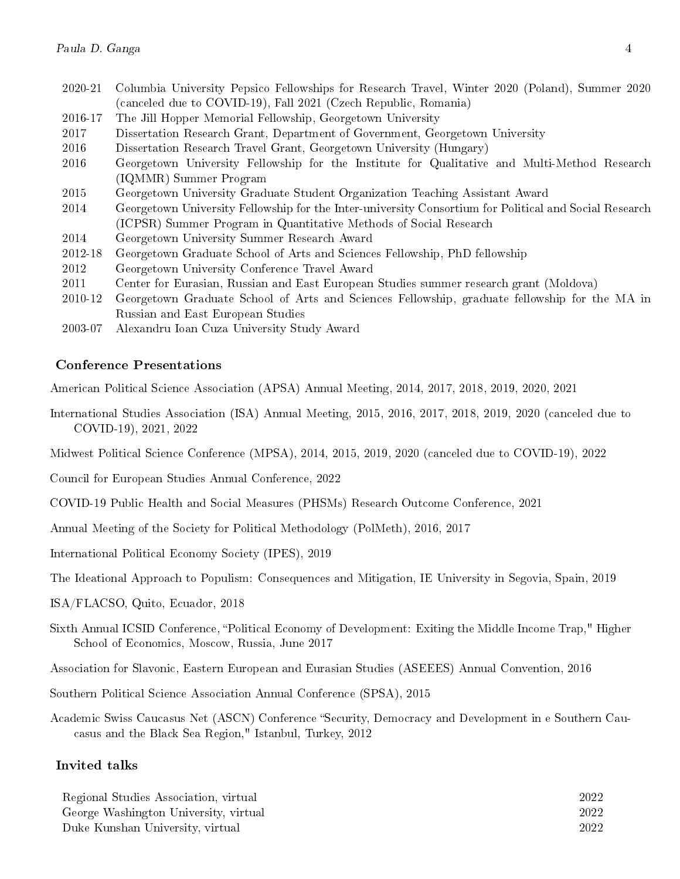- 2020-21 Columbia University Pepsico Fellowships for Research Travel, Winter 2020 (Poland), Summer 2020 (canceled due to COVID-19), Fall 2021 (Czech Republic, Romania)
- 2016-17 The Jill Hopper Memorial Fellowship, Georgetown University
- 2017 Dissertation Research Grant, Department of Government, Georgetown University
- 2016 Dissertation Research Travel Grant, Georgetown University (Hungary)
- 2016 Georgetown University Fellowship for the Institute for Qualitative and Multi-Method Research (IQMMR) Summer Program
- 2015 Georgetown University Graduate Student Organization Teaching Assistant Award
- 2014 Georgetown University Fellowship for the Inter-university Consortium for Political and Social Research (ICPSR) Summer Program in Quantitative Methods of Social Research
- 2014 Georgetown University Summer Research Award
- 2012-18 Georgetown Graduate School of Arts and Sciences Fellowship, PhD fellowship
- 2012 Georgetown University Conference Travel Award
- 2011 Center for Eurasian, Russian and East European Studies summer research grant (Moldova)
- 2010-12 Georgetown Graduate School of Arts and Sciences Fellowship, graduate fellowship for the MA in Russian and East European Studies
- 2003-07 Alexandru Ioan Cuza University Study Award

#### Conference Presentations

American Political Science Association (APSA) Annual Meeting, 2014, 2017, 2018, 2019, 2020, 2021

- International Studies Association (ISA) Annual Meeting, 2015, 2016, 2017, 2018, 2019, 2020 (canceled due to COVID-19), 2021, 2022
- Midwest Political Science Conference (MPSA), 2014, 2015, 2019, 2020 (canceled due to COVID-19), 2022
- Council for European Studies Annual Conference, 2022
- COVID-19 Public Health and Social Measures (PHSMs) Research Outcome Conference, 2021
- Annual Meeting of the Society for Political Methodology (PolMeth), 2016, 2017
- International Political Economy Society (IPES), 2019
- The Ideational Approach to Populism: Consequences and Mitigation, IE University in Segovia, Spain, 2019
- ISA/FLACSO, Quito, Ecuador, 2018
- Sixth Annual ICSID Conference, "Political Economy of Development: Exiting the Middle Income Trap," Higher School of Economics, Moscow, Russia, June 2017
- Association for Slavonic, Eastern European and Eurasian Studies (ASEEES) Annual Convention, 2016
- Southern Political Science Association Annual Conference (SPSA), 2015
- Academic Swiss Caucasus Net (ASCN) Conference "Security, Democracy and Development in e Southern Caucasus and the Black Sea Region," Istanbul, Turkey, 2012

#### Invited talks

| Regional Studies Association, virtual | 2022 |
|---------------------------------------|------|
| George Washington University, virtual | 2022 |
| Duke Kunshan University, virtual      | 2022 |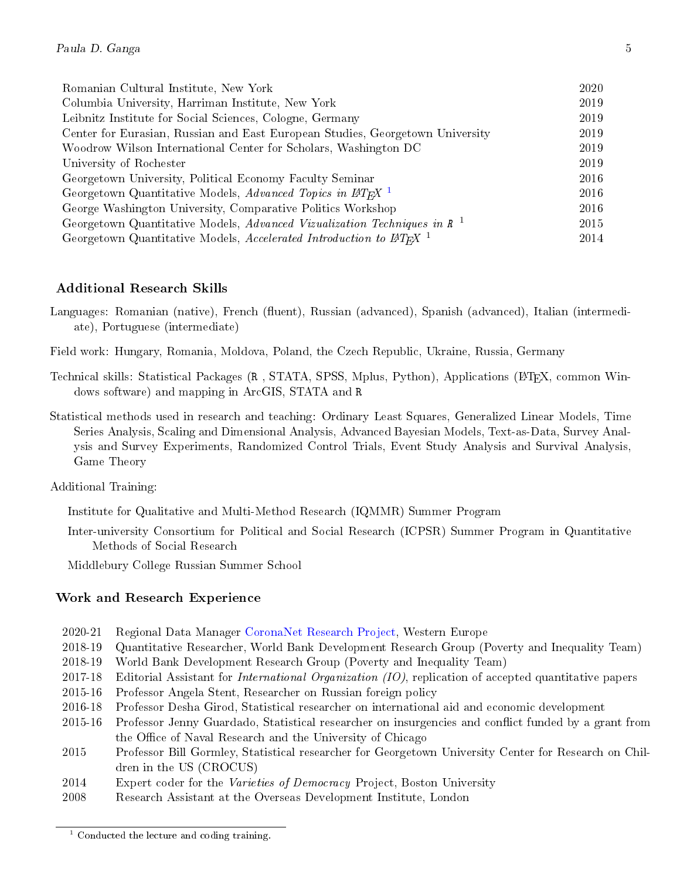| Romanian Cultural Institute, New York                                                  | 2020 |
|----------------------------------------------------------------------------------------|------|
| Columbia University, Harriman Institute, New York                                      | 2019 |
| Leibnitz Institute for Social Sciences, Cologne, Germany                               | 2019 |
| Center for Eurasian, Russian and East European Studies, Georgetown University          | 2019 |
| Woodrow Wilson International Center for Scholars, Washington DC                        | 2019 |
| University of Rochester                                                                | 2019 |
| Georgetown University, Political Economy Faculty Seminar                               | 2016 |
| Georgetown Quantitative Models, Advanced Topics in $\mu_{T}$                           | 2016 |
| George Washington University, Comparative Politics Workshop                            | 2016 |
| Georgetown Quantitative Models, Advanced Vizualization Techniques in $\mathbb{R}^{-1}$ |      |
| Georgetown Quantitative Models, Accelerated Introduction to $\angle TFX$ <sup>1</sup>  | 2014 |

### Additional Research Skills

- Languages: Romanian (native), French (fluent), Russian (advanced), Spanish (advanced), Italian (intermediate), Portuguese (intermediate)
- Field work: Hungary, Romania, Moldova, Poland, the Czech Republic, Ukraine, Russia, Germany
- Technical skills: Statistical Packages (R, STATA, SPSS, Mplus, Python), Applications (LAT<sub>EX</sub>, common Windows software) and mapping in ArcGIS, STATA and R
- Statistical methods used in research and teaching: Ordinary Least Squares, Generalized Linear Models, Time Series Analysis, Scaling and Dimensional Analysis, Advanced Bayesian Models, Text-as-Data, Survey Analysis and Survey Experiments, Randomized Control Trials, Event Study Analysis and Survival Analysis, Game Theory

Additional Training:

Institute for Qualitative and Multi-Method Research (IQMMR) Summer Program

Inter-university Consortium for Political and Social Research (ICPSR) Summer Program in Quantitative Methods of Social Research

Middlebury College Russian Summer School

### Work and Research Experience

- 2020-21 Regional Data Manager [CoronaNet Research Project,](https://coronanet-project.org/) Western Europe
- 2018-19 Quantitative Researcher, World Bank Development Research Group (Poverty and Inequality Team)
- 2018-19 World Bank Development Research Group (Poverty and Inequality Team)
- 2017-18 Editorial Assistant for International Organization (IO), replication of accepted quantitative papers
- 2015-16 Professor Angela Stent, Researcher on Russian foreign policy
- 2016-18 Professor Desha Girod, Statistical researcher on international aid and economic development
- 2015-16 Professor Jenny Guardado, Statistical researcher on insurgencies and conict funded by a grant from the Office of Naval Research and the University of Chicago
- 2015 Professor Bill Gormley, Statistical researcher for Georgetown University Center for Research on Children in the US (CROCUS)
- 2014 Expert coder for the Varieties of Democracy Project, Boston University
- 2008 Research Assistant at the Overseas Development Institute, London

<sup>&</sup>lt;sup>1</sup> Conducted the lecture and coding training.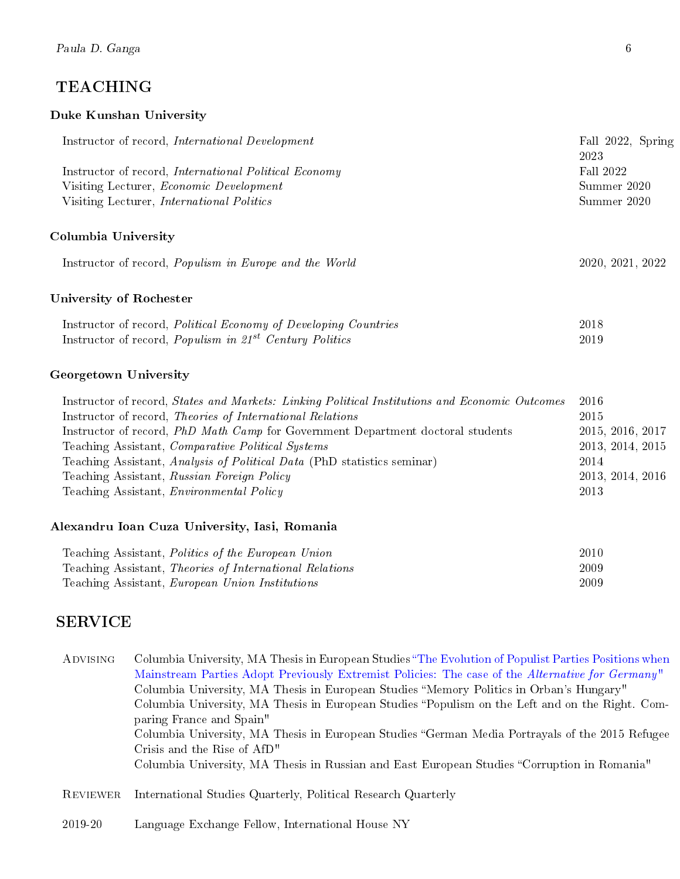# TEACHING

### Duke Kunshan University

| Instructor of record, <i>International Development</i>                    | Fall 2022, Spring |  |
|---------------------------------------------------------------------------|-------------------|--|
|                                                                           | 2023              |  |
| Instructor of record, <i>International Political Economy</i>              | Fall 2022         |  |
| Visiting Lecturer, <i>Economic Development</i>                            | Summer 2020       |  |
| Visiting Lecturer, <i>International Politics</i>                          | Summer 2020       |  |
| Columbia University                                                       |                   |  |
| Instructor of record, <i>Populism in Europe and the World</i>             | 2020, 2021, 2022  |  |
| University of Rochester                                                   |                   |  |
| Instructor of record, <i>Political Economy of Developing Countries</i>    | 2018              |  |
| Instructor of record, <i>Populism in 21<sup>st</sup></i> Century Politics | 2019              |  |
|                                                                           |                   |  |

# Georgetown University

| Instructor of record, <i>States and Markets: Linking Political Institutions and Economic Outcomes</i> | -2016            |
|-------------------------------------------------------------------------------------------------------|------------------|
| Instructor of record, Theories of International Relations                                             | 2015             |
| Instructor of record, <i>PhD Math Camp</i> for Government Department doctoral students                | 2015, 2016, 2017 |
| Teaching Assistant, Comparative Political Systems                                                     | 2013, 2014, 2015 |
| Teaching Assistant, Analysis of Political Data (PhD statistics seminar)                               | 2014             |
| Teaching Assistant, Russian Foreign Policy                                                            | 2013, 2014, 2016 |
| Teaching Assistant, <i>Environmental Policy</i>                                                       | 2013             |

### Alexandru Ioan Cuza University, Iasi, Romania

| Teaching Assistant, Politics of the European Union      | 2010 |
|---------------------------------------------------------|------|
| Teaching Assistant, Theories of International Relations | 2009 |
| Teaching Assistant, <i>European Union Institutions</i>  | 2009 |

# SERVICE

| <b>ADVISING</b> | Columbia University, MA Thesis in European Studies "The Evolution of Populist Parties Positions when                                                                                                                                                                                                      |
|-----------------|-----------------------------------------------------------------------------------------------------------------------------------------------------------------------------------------------------------------------------------------------------------------------------------------------------------|
|                 | Mainstream Parties Adopt Previously Extremist Policies: The case of the Alternative for Germany"                                                                                                                                                                                                          |
|                 | Columbia University, MA Thesis in European Studies "Memory Politics in Orban's Hungary"                                                                                                                                                                                                                   |
|                 | Columbia University, MA Thesis in European Studies "Populism on the Left and on the Right. Com-                                                                                                                                                                                                           |
|                 | paring France and Spain"                                                                                                                                                                                                                                                                                  |
|                 | Columbia University, MA Thesis in European Studies "German Media Portrayals of the 2015 Refugee                                                                                                                                                                                                           |
|                 | Crisis and the Rise of AfD"                                                                                                                                                                                                                                                                               |
|                 | Columbia University, MA Thesis in Russian and East European Studies "Corruption in Romania"                                                                                                                                                                                                               |
|                 |                                                                                                                                                                                                                                                                                                           |
|                 | $\mathbf{D}_{\text{min}}$ and $\mathbf{I}$ are $\mathbf{I}$ and $\mathbf{D}$ and $\mathbf{I}$ are $\mathbf{I}$ and $\mathbf{I}$ are $\mathbf{I}$ and $\mathbf{I}$ and $\mathbf{I}$ are $\mathbf{I}$ and $\mathbf{I}$ and $\mathbf{I}$ are $\mathbf{I}$ and $\mathbf{I}$ and $\mathbf{I}$ are $\mathbf{I}$ |

REVIEWER International Studies Quarterly, Political Research Quarterly

2019-20 Language Exchange Fellow, International House NY